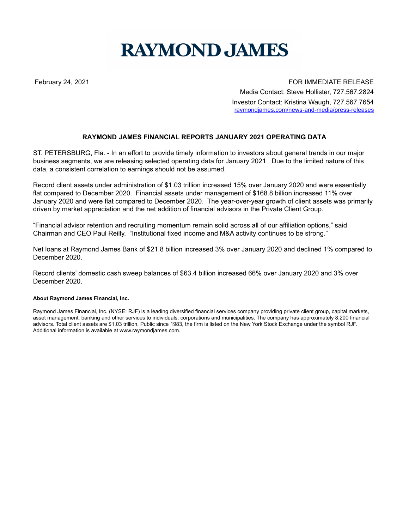## **RAYMOND JAMES**

February 24, 2021 **For all and September 24, 2021** For all and September 24, 2021 Media Contact: Steve Hollister, 727.567.2824 Investor Contact: Kristina Waugh, 727.567.7654 raymondjames.com/news-and-media/press-releases

## **RAYMOND JAMES FINANCIAL REPORTS JANUARY 2021 OPERATING DATA**

ST. PETERSBURG, Fla. - In an effort to provide timely information to investors about general trends in our major business segments, we are releasing selected operating data for January 2021. Due to the limited nature of this data, a consistent correlation to earnings should not be assumed.

Record client assets under administration of \$1.03 trillion increased 15% over January 2020 and were essentially flat compared to December 2020. Financial assets under management of \$168.8 billion increased 11% over January 2020 and were flat compared to December 2020. The year-over-year growth of client assets was primarily driven by market appreciation and the net addition of financial advisors in the Private Client Group.

"Financial advisor retention and recruiting momentum remain solid across all of our affiliation options," said Chairman and CEO Paul Reilly. "Institutional fixed income and M&A activity continues to be strong."

Net loans at Raymond James Bank of \$21.8 billion increased 3% over January 2020 and declined 1% compared to December 2020.

Record clients' domestic cash sweep balances of \$63.4 billion increased 66% over January 2020 and 3% over December 2020.

## **About Raymond James Financial, Inc.**

Raymond James Financial, Inc. (NYSE: RJF) is a leading diversified financial services company providing private client group, capital markets, asset management, banking and other services to individuals, corporations and municipalities. The company has approximately 8,200 financial advisors. Total client assets are \$1.03 trillion. Public since 1983, the firm is listed on the New York Stock Exchange under the symbol RJF. Additional information is available at www.raymondjames.com.